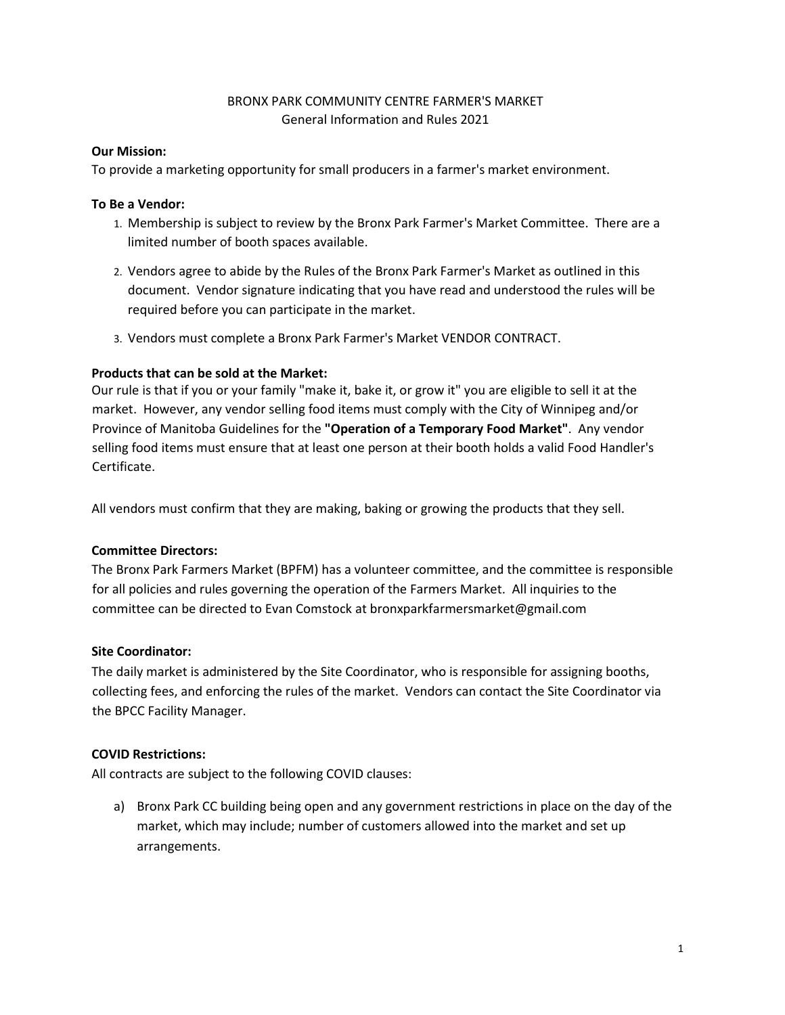# BRONX PARK COMMUNITY CENTRE FARMER'S MARKET General Information and Rules 2021

### **Our Mission:**

To provide a marketing opportunity for small producers in a farmer's market environment.

### **To Be a Vendor:**

- 1. Membership is subject to review by the Bronx Park Farmer's Market Committee. There are a limited number of booth spaces available.
- 2. Vendors agree to abide by the Rules of the Bronx Park Farmer's Market as outlined in this document. Vendor signature indicating that you have read and understood the rules will be required before you can participate in the market.
- 3. Vendors must complete a Bronx Park Farmer's Market VENDOR CONTRACT.

### **Products that can be sold at the Market:**

Our rule is that if you or your family "make it, bake it, or grow it" you are eligible to sell it at the market. However, any vendor selling food items must comply with the City of Winnipeg and/or Province of Manitoba Guidelines for the **"Operation of a Temporary Food Market"**. Any vendor selling food items must ensure that at least one person at their booth holds a valid Food Handler's Certificate.

All vendors must confirm that they are making, baking or growing the products that they sell.

#### **Committee Directors:**

The Bronx Park Farmers Market (BPFM) has a volunteer committee, and the committee is responsible for all policies and rules governing the operation of the Farmers Market. All inquiries to the committee can be directed to Evan Comstock at bronxparkfarmersmarket@gmail.com

# **Site Coordinator:**

The daily market is administered by the Site Coordinator, who is responsible for assigning booths, collecting fees, and enforcing the rules of the market. Vendors can contact the Site Coordinator via the BPCC Facility Manager.

# **COVID Restrictions:**

All contracts are subject to the following COVID clauses:

a) Bronx Park CC building being open and any government restrictions in place on the day of the market, which may include; number of customers allowed into the market and set up arrangements.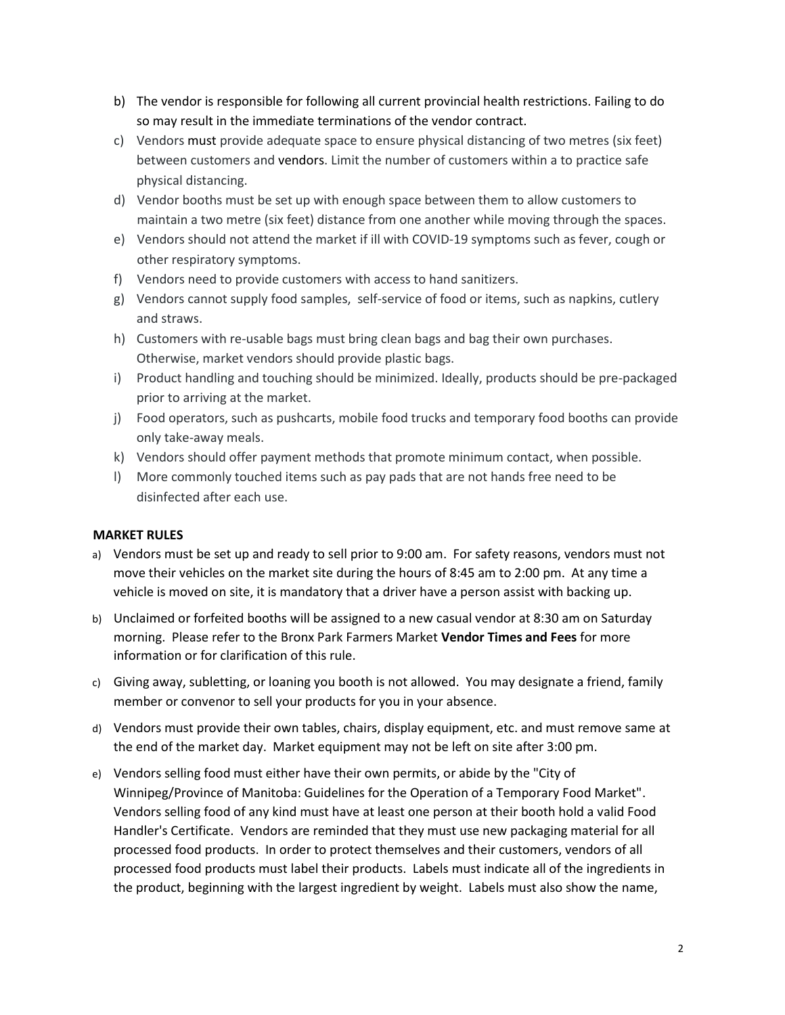- b) The vendor is responsible for following all current provincial health restrictions. Failing to do so may result in the immediate terminations of the vendor contract.
- c) Vendors must provide adequate space to ensure physical distancing of two metres (six feet) between customers and vendors. Limit the number of customers within a to practice safe physical distancing.
- d) Vendor booths must be set up with enough space between them to allow customers to maintain a two metre (six feet) distance from one another while moving through the spaces.
- e) Vendors should not attend the market if ill with COVID-19 symptoms such as fever, cough or other respiratory symptoms.
- f) Vendors need to provide customers with access to hand sanitizers.
- g) Vendors cannot supply food samples, self-service of food or items, such as napkins, cutlery and straws.
- h) Customers with re-usable bags must bring clean bags and bag their own purchases. Otherwise, market vendors should provide plastic bags.
- i) Product handling and touching should be minimized. Ideally, products should be pre-packaged prior to arriving at the market.
- j) Food operators, such as pushcarts, mobile food trucks and temporary food booths can provide only take-away meals.
- k) Vendors should offer payment methods that promote minimum contact, when possible.
- l) More commonly touched items such as pay pads that are not hands free need to be disinfected after each use.

#### **MARKET RULES**

- a) Vendors must be set up and ready to sell prior to 9:00 am. For safety reasons, vendors must not move their vehicles on the market site during the hours of 8:45 am to 2:00 pm. At any time a vehicle is moved on site, it is mandatory that a driver have a person assist with backing up.
- b) Unclaimed or forfeited booths will be assigned to a new casual vendor at 8:30 am on Saturday morning. Please refer to the Bronx Park Farmers Market **Vendor Times and Fees** for more information or for clarification of this rule.
- c) Giving away, subletting, or loaning you booth is not allowed. You may designate a friend, family member or convenor to sell your products for you in your absence.
- d) Vendors must provide their own tables, chairs, display equipment, etc. and must remove same at the end of the market day. Market equipment may not be left on site after 3:00 pm.
- e) Vendors selling food must either have their own permits, or abide by the "City of Winnipeg/Province of Manitoba: Guidelines for the Operation of a Temporary Food Market". Vendors selling food of any kind must have at least one person at their booth hold a valid Food Handler's Certificate. Vendors are reminded that they must use new packaging material for all processed food products. In order to protect themselves and their customers, vendors of all processed food products must label their products. Labels must indicate all of the ingredients in the product, beginning with the largest ingredient by weight. Labels must also show the name,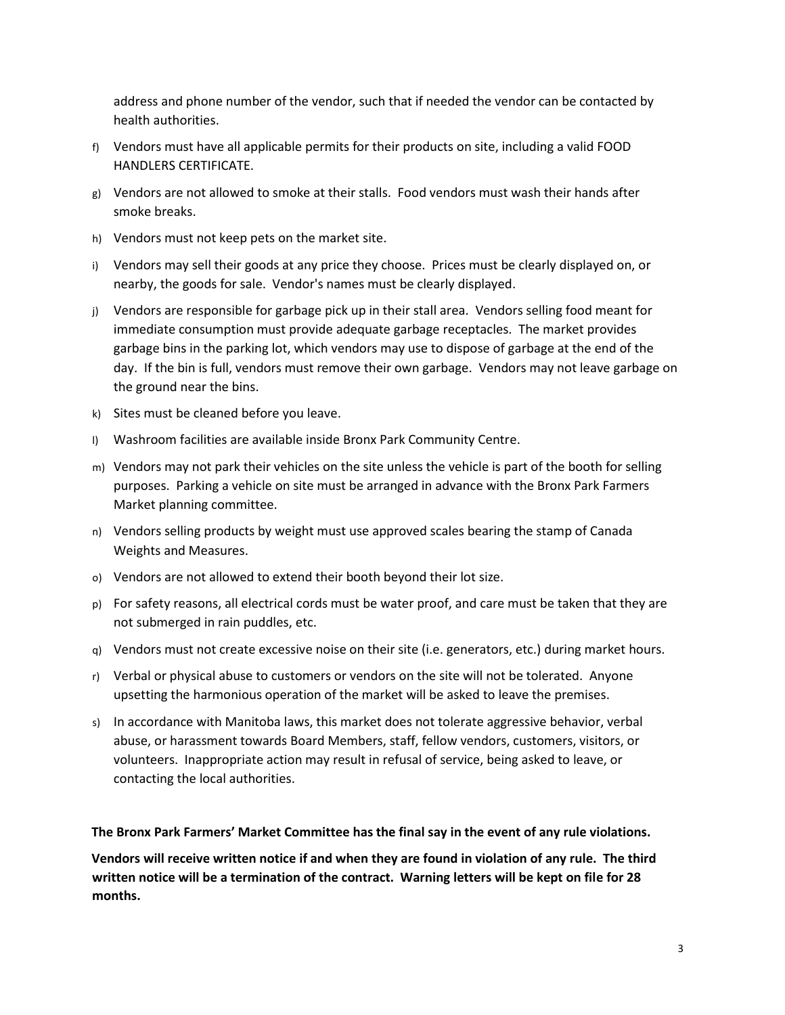address and phone number of the vendor, such that if needed the vendor can be contacted by health authorities.

- f) Vendors must have all applicable permits for their products on site, including a valid FOOD HANDLERS CERTIFICATE.
- $g$ ) Vendors are not allowed to smoke at their stalls. Food vendors must wash their hands after smoke breaks.
- h) Vendors must not keep pets on the market site.
- i) Vendors may sell their goods at any price they choose. Prices must be clearly displayed on, or nearby, the goods for sale. Vendor's names must be clearly displayed.
- j) Vendors are responsible for garbage pick up in their stall area. Vendors selling food meant for immediate consumption must provide adequate garbage receptacles. The market provides garbage bins in the parking lot, which vendors may use to dispose of garbage at the end of the day. If the bin is full, vendors must remove their own garbage. Vendors may not leave garbage on the ground near the bins.
- k) Sites must be cleaned before you leave.
- l) Washroom facilities are available inside Bronx Park Community Centre.
- m) Vendors may not park their vehicles on the site unless the vehicle is part of the booth for selling purposes. Parking a vehicle on site must be arranged in advance with the Bronx Park Farmers Market planning committee.
- n) Vendors selling products by weight must use approved scales bearing the stamp of Canada Weights and Measures.
- o) Vendors are not allowed to extend their booth beyond their lot size.
- p) For safety reasons, all electrical cords must be water proof, and care must be taken that they are not submerged in rain puddles, etc.
- q) Vendors must not create excessive noise on their site (i.e. generators, etc.) during market hours.
- r) Verbal or physical abuse to customers or vendors on the site will not be tolerated. Anyone upsetting the harmonious operation of the market will be asked to leave the premises.
- s) In accordance with Manitoba laws, this market does not tolerate aggressive behavior, verbal abuse, or harassment towards Board Members, staff, fellow vendors, customers, visitors, or volunteers. Inappropriate action may result in refusal of service, being asked to leave, or contacting the local authorities.

**The Bronx Park Farmers' Market Committee has the final say in the event of any rule violations.**

**Vendors will receive written notice if and when they are found in violation of any rule. The third written notice will be a termination of the contract. Warning letters will be kept on file for 28 months.**